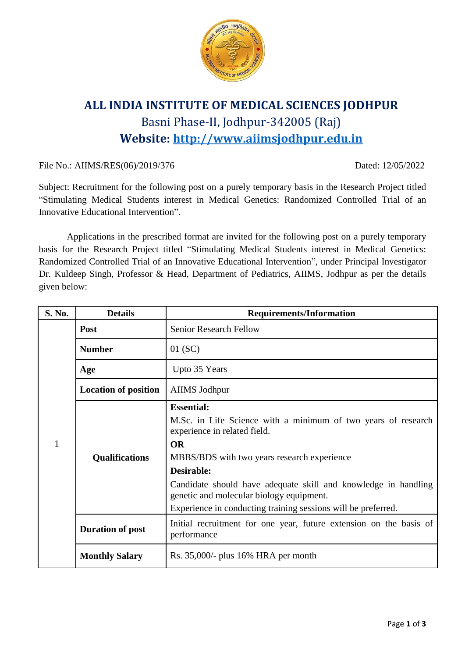

## **ALL INDIA INSTITUTE OF MEDICAL SCIENCES JODHPUR** Basni Phase-II, Jodhpur-342005 (Raj) **Website: [http://www.aiimsjodhpur.edu.in](http://www.aiimsjodhpur.edu.in/)**

File No.: AIIMS/RES(06)/2019/376 Dated: 12/05/2022

Subject: Recruitment for the following post on a purely temporary basis in the Research Project titled "Stimulating Medical Students interest in Medical Genetics: Randomized Controlled Trial of an Innovative Educational Intervention".

Applications in the prescribed format are invited for the following post on a purely temporary basis for the Research Project titled "Stimulating Medical Students interest in Medical Genetics: Randomized Controlled Trial of an Innovative Educational Intervention", under Principal Investigator Dr. Kuldeep Singh, Professor & Head, Department of Pediatrics, AIIMS, Jodhpur as per the details given below:

| S. No. | <b>Details</b>              | <b>Requirements/Information</b>                                                                                                                                                                                                                                                                                                                                             |  |  |  |
|--------|-----------------------------|-----------------------------------------------------------------------------------------------------------------------------------------------------------------------------------------------------------------------------------------------------------------------------------------------------------------------------------------------------------------------------|--|--|--|
|        | <b>Post</b>                 | <b>Senior Research Fellow</b>                                                                                                                                                                                                                                                                                                                                               |  |  |  |
|        | <b>Number</b>               | $01$ (SC)                                                                                                                                                                                                                                                                                                                                                                   |  |  |  |
|        | Age                         | Upto 35 Years                                                                                                                                                                                                                                                                                                                                                               |  |  |  |
|        | <b>Location of position</b> | AIIMS Jodhpur                                                                                                                                                                                                                                                                                                                                                               |  |  |  |
| 1      | <b>Qualifications</b>       | <b>Essential:</b><br>M.Sc. in Life Science with a minimum of two years of research<br>experience in related field.<br><b>OR</b><br>MBBS/BDS with two years research experience<br>Desirable:<br>Candidate should have adequate skill and knowledge in handling<br>genetic and molecular biology equipment.<br>Experience in conducting training sessions will be preferred. |  |  |  |
|        | <b>Duration of post</b>     | Initial recruitment for one year, future extension on the basis of<br>performance                                                                                                                                                                                                                                                                                           |  |  |  |
|        | <b>Monthly Salary</b>       | Rs. $35,000/$ - plus $16%$ HRA per month                                                                                                                                                                                                                                                                                                                                    |  |  |  |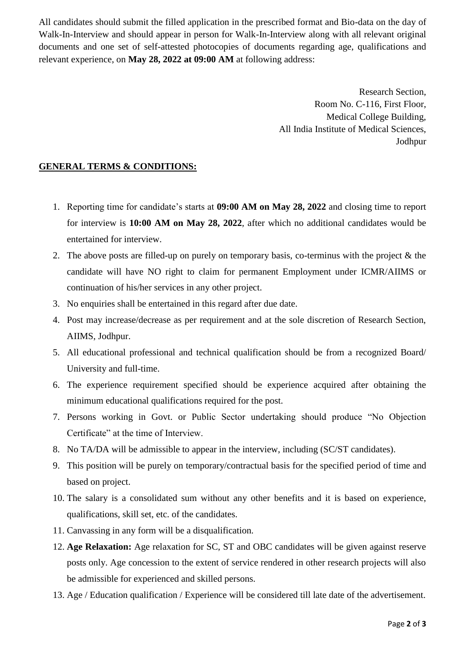All candidates should submit the filled application in the prescribed format and Bio-data on the day of Walk-In-Interview and should appear in person for Walk-In-Interview along with all relevant original documents and one set of self-attested photocopies of documents regarding age, qualifications and relevant experience, on **May 28, 2022 at 09:00 AM** at following address:

> Research Section, Room No. C-116, First Floor, Medical College Building, All India Institute of Medical Sciences, Jodhpur

## **GENERAL TERMS & CONDITIONS:**

- 1. Reporting time for candidate's starts at **09:00 AM on May 28, 2022** and closing time to report for interview is **10:00 AM on May 28, 2022**, after which no additional candidates would be entertained for interview.
- 2. The above posts are filled-up on purely on temporary basis, co-terminus with the project & the candidate will have NO right to claim for permanent Employment under ICMR/AIIMS or continuation of his/her services in any other project.
- 3. No enquiries shall be entertained in this regard after due date.
- 4. Post may increase/decrease as per requirement and at the sole discretion of Research Section, AIIMS, Jodhpur.
- 5. All educational professional and technical qualification should be from a recognized Board/ University and full-time.
- 6. The experience requirement specified should be experience acquired after obtaining the minimum educational qualifications required for the post.
- 7. Persons working in Govt. or Public Sector undertaking should produce "No Objection Certificate" at the time of Interview.
- 8. No TA/DA will be admissible to appear in the interview, including (SC/ST candidates).
- 9. This position will be purely on temporary/contractual basis for the specified period of time and based on project.
- 10. The salary is a consolidated sum without any other benefits and it is based on experience, qualifications, skill set, etc. of the candidates.
- 11. Canvassing in any form will be a disqualification.
- 12. **Age Relaxation:** Age relaxation for SC, ST and OBC candidates will be given against reserve posts only. Age concession to the extent of service rendered in other research projects will also be admissible for experienced and skilled persons.
- 13. Age / Education qualification / Experience will be considered till late date of the advertisement.